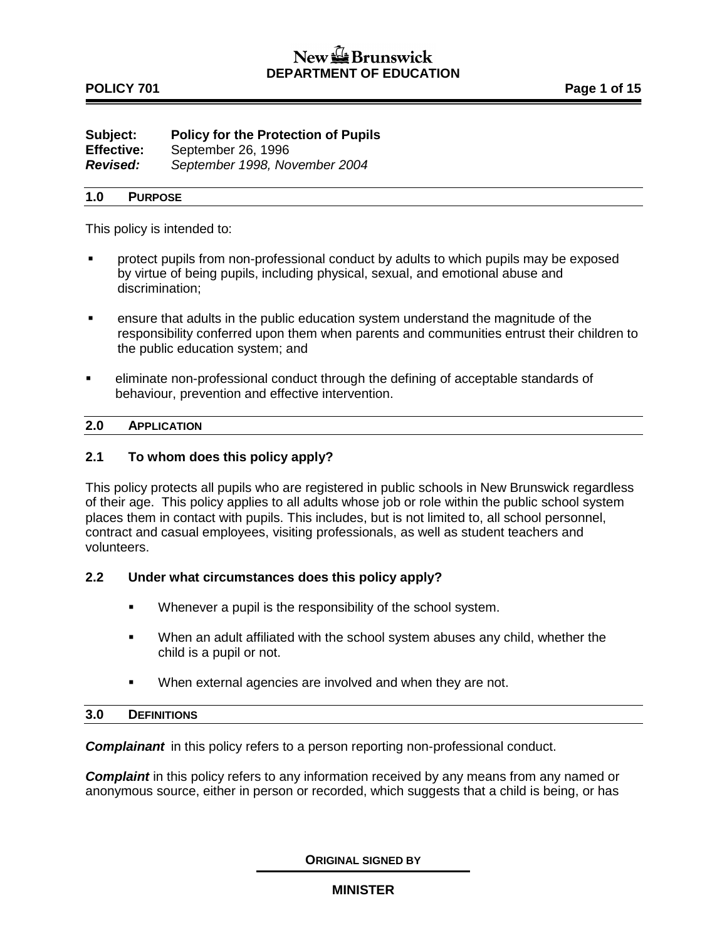#### **Subject: Policy for the Protection of Pupils Effective:** September 26, 1996 *Revised: September 1998, November 2004*

# **1.0 PURPOSE**

This policy is intended to:

- **•** protect pupils from non-professional conduct by adults to which pupils may be exposed by virtue of being pupils, including physical, sexual, and emotional abuse and discrimination;
- ensure that adults in the public education system understand the magnitude of the responsibility conferred upon them when parents and communities entrust their children to the public education system; and
- eliminate non-professional conduct through the defining of acceptable standards of behaviour, prevention and effective intervention.

#### **2.0 APPLICATION**

## **2.1 To whom does this policy apply?**

This policy protects all pupils who are registered in public schools in New Brunswick regardless of their age. This policy applies to all adults whose job or role within the public school system places them in contact with pupils. This includes, but is not limited to, all school personnel, contract and casual employees, visiting professionals, as well as student teachers and volunteers.

## **2.2 Under what circumstances does this policy apply?**

- **•** Whenever a pupil is the responsibility of the school system.
- When an adult affiliated with the school system abuses any child, whether the child is a pupil or not.
- When external agencies are involved and when they are not.

#### **3.0 DEFINITIONS**

*Complainant* in this policy refers to a person reporting non-professional conduct.

*Complaint* in this policy refers to any information received by any means from any named or anonymous source, either in person or recorded, which suggests that a child is being, or has

**ORIGINAL SIGNED BY**

## **MINISTER**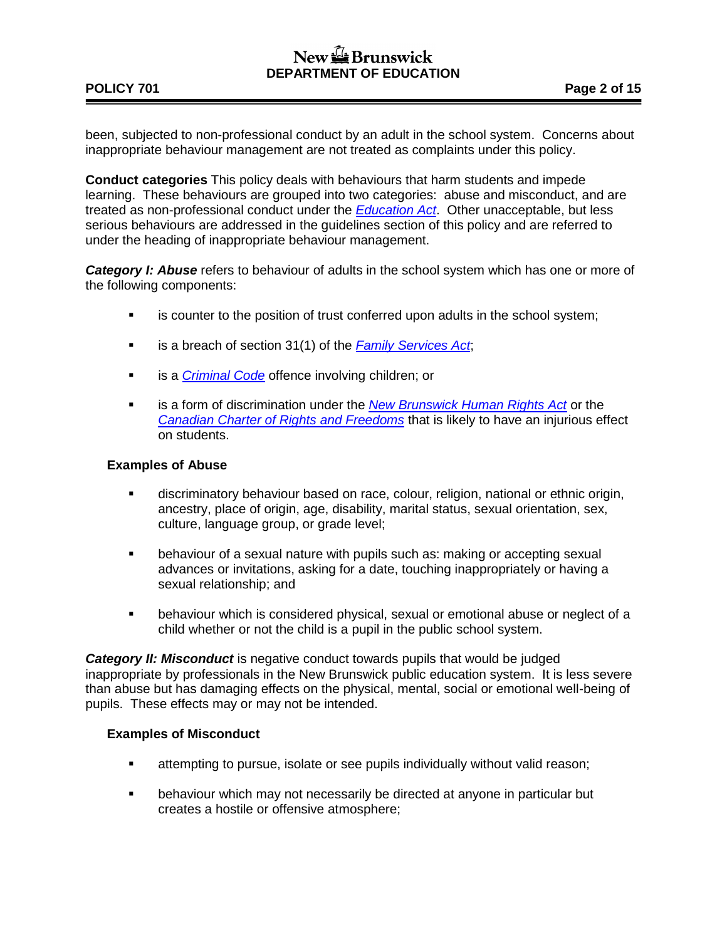# New La Brunswick **DEPARTMENT OF EDUCATION**

been, subjected to non-professional conduct by an adult in the school system. Concerns about inappropriate behaviour management are not treated as complaints under this policy.

**Conduct categories** This policy deals with behaviours that harm students and impede learning. These behaviours are grouped into two categories: abuse and misconduct, and are treated as non-professional conduct under the *[Education Act](http://laws.gnb.ca/en/ShowPdf/cs/E-1.12.pdf)*. Other unacceptable, but less serious behaviours are addressed in the guidelines section of this policy and are referred to under the heading of inappropriate behaviour management.

**Category I: Abuse** refers to behaviour of adults in the school system which has one or more of the following components:

- **EXED** is counter to the position of trust conferred upon adults in the school system;
- **Example 31** is a breach of section 31(1) of the **[Family Services Act](http://laws.gnb.ca/fr/ShowPdf/cs/F-2.2.pdf)**;
- **Example 2** is a *[Criminal Code](http://laws-lois.justice.gc.ca/eng/acts/C-46/)* offence involving children; or
- is a form of discrimination under the *[New Brunswick Human Rights Act](http://laws.gnb.ca/en/ShowPdf/cs/2011-c.171.pdf)* or the *[Canadian Charter of Rights and Freedoms](http://laws-lois.justice.gc.ca/eng/const/page-15.html)* that is likely to have an injurious effect on students.

#### **Examples of Abuse**

- discriminatory behaviour based on race, colour, religion, national or ethnic origin, ancestry, place of origin, age, disability, marital status, sexual orientation, sex, culture, language group, or grade level;
- behaviour of a sexual nature with pupils such as: making or accepting sexual advances or invitations, asking for a date, touching inappropriately or having a sexual relationship; and
- behaviour which is considered physical, sexual or emotional abuse or neglect of a child whether or not the child is a pupil in the public school system.

**Category II: Misconduct** is negative conduct towards pupils that would be judged inappropriate by professionals in the New Brunswick public education system. It is less severe than abuse but has damaging effects on the physical, mental, social or emotional well-being of pupils. These effects may or may not be intended.

#### **Examples of Misconduct**

- **EXED** attempting to pursue, isolate or see pupils individually without valid reason;
- **EXED** behaviour which may not necessarily be directed at anyone in particular but creates a hostile or offensive atmosphere;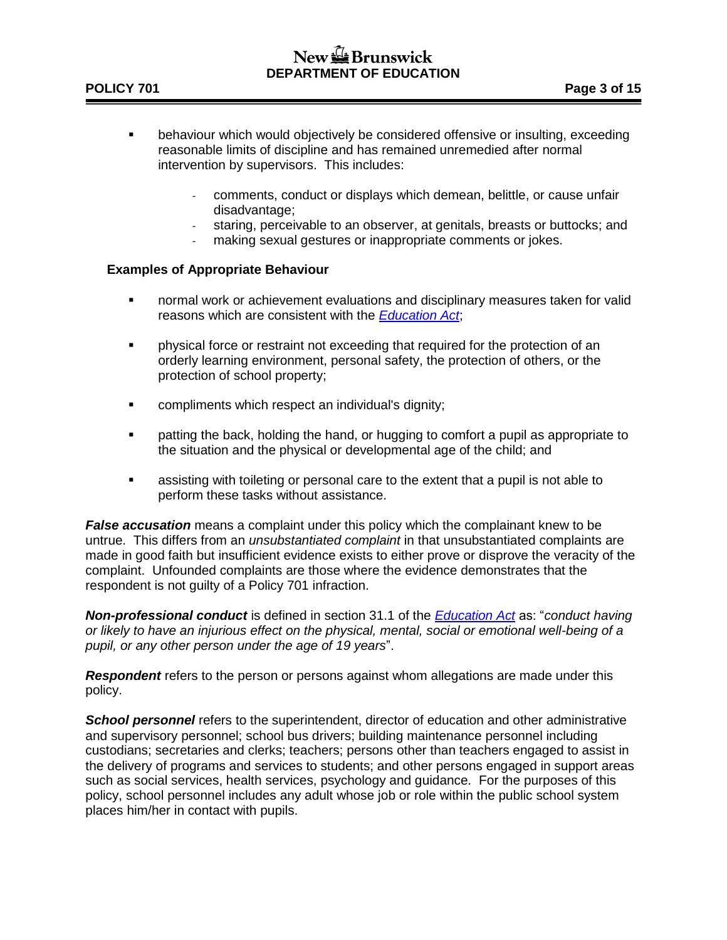- behaviour which would objectively be considered offensive or insulting, exceeding reasonable limits of discipline and has remained unremedied after normal intervention by supervisors. This includes:
	- comments, conduct or displays which demean, belittle, or cause unfair disadvantage;
	- staring, perceivable to an observer, at genitals, breasts or buttocks; and
	- making sexual gestures or inappropriate comments or jokes.

## **Examples of Appropriate Behaviour**

- normal work or achievement evaluations and disciplinary measures taken for valid reasons which are consistent with the *[Education Act](http://laws.gnb.ca/en/ShowPdf/cs/E-1.12.pdf)*;
- **•** physical force or restraint not exceeding that required for the protection of an orderly learning environment, personal safety, the protection of others, or the protection of school property;
- **EXEDENT** compliments which respect an individual's dignity;
- patting the back, holding the hand, or hugging to comfort a pupil as appropriate to the situation and the physical or developmental age of the child; and
- assisting with toileting or personal care to the extent that a pupil is not able to perform these tasks without assistance.

*False accusation* means a complaint under this policy which the complainant knew to be untrue. This differs from an *unsubstantiated complaint* in that unsubstantiated complaints are made in good faith but insufficient evidence exists to either prove or disprove the veracity of the complaint. Unfounded complaints are those where the evidence demonstrates that the respondent is not guilty of a Policy 701 infraction.

*Non-professional conduct* is defined in section 31.1 of the *[Education Act](http://laws.gnb.ca/en/ShowPdf/cs/E-1.12.pdf)* as: "*conduct having or likely to have an injurious effect on the physical, mental, social or emotional well-being of a pupil, or any other person under the age of 19 years*".

*Respondent* refers to the person or persons against whom allegations are made under this policy.

*School personnel* refers to the superintendent, director of education and other administrative and supervisory personnel; school bus drivers; building maintenance personnel including custodians; secretaries and clerks; teachers; persons other than teachers engaged to assist in the delivery of programs and services to students; and other persons engaged in support areas such as social services, health services, psychology and guidance. For the purposes of this policy, school personnel includes any adult whose job or role within the public school system places him/her in contact with pupils.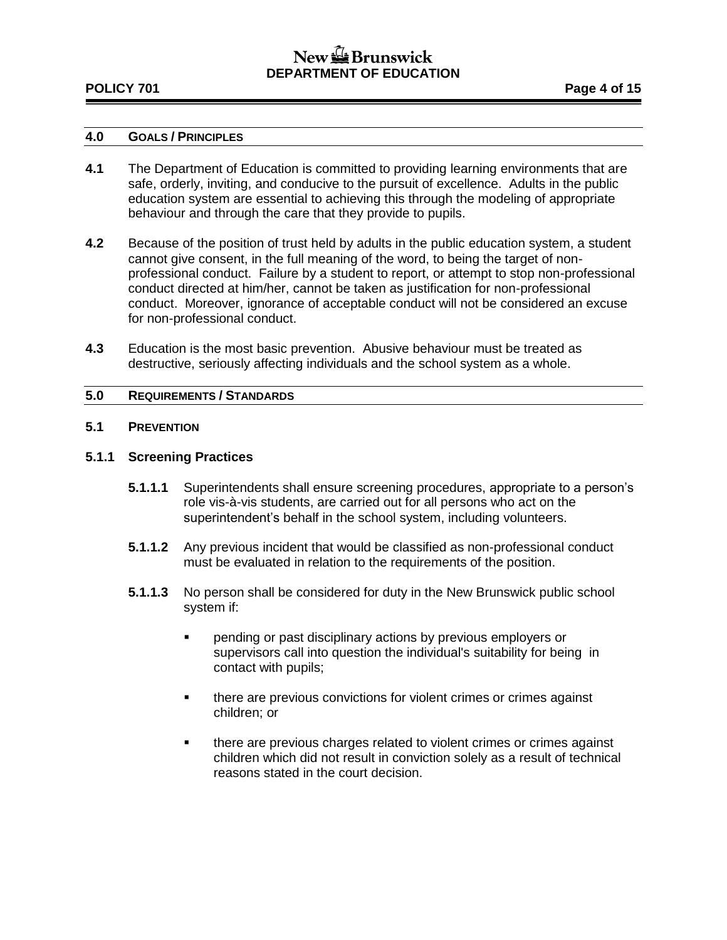# **4.0 GOALS / PRINCIPLES**

- **4.1** The Department of Education is committed to providing learning environments that are safe, orderly, inviting, and conducive to the pursuit of excellence. Adults in the public education system are essential to achieving this through the modeling of appropriate behaviour and through the care that they provide to pupils.
- **4.2** Because of the position of trust held by adults in the public education system, a student cannot give consent, in the full meaning of the word, to being the target of nonprofessional conduct. Failure by a student to report, or attempt to stop non-professional conduct directed at him/her, cannot be taken as justification for non-professional conduct. Moreover, ignorance of acceptable conduct will not be considered an excuse for non-professional conduct.
- **4.3** Education is the most basic prevention. Abusive behaviour must be treated as destructive, seriously affecting individuals and the school system as a whole.

# **5.0 REQUIREMENTS / STANDARDS**

#### **5.1 PREVENTION**

#### **5.1.1 Screening Practices**

- **5.1.1.1** Superintendents shall ensure screening procedures, appropriate to a person's role vis-à-vis students, are carried out for all persons who act on the superintendent's behalf in the school system, including volunteers.
- **5.1.1.2** Any previous incident that would be classified as non-professional conduct must be evaluated in relation to the requirements of the position.
- **5.1.1.3** No person shall be considered for duty in the New Brunswick public school system if:
	- **Pending or past disciplinary actions by previous employers or** supervisors call into question the individual's suitability for being in contact with pupils;
	- **there are previous convictions for violent crimes or crimes against** children; or
	- **there are previous charges related to violent crimes or crimes against** children which did not result in conviction solely as a result of technical reasons stated in the court decision.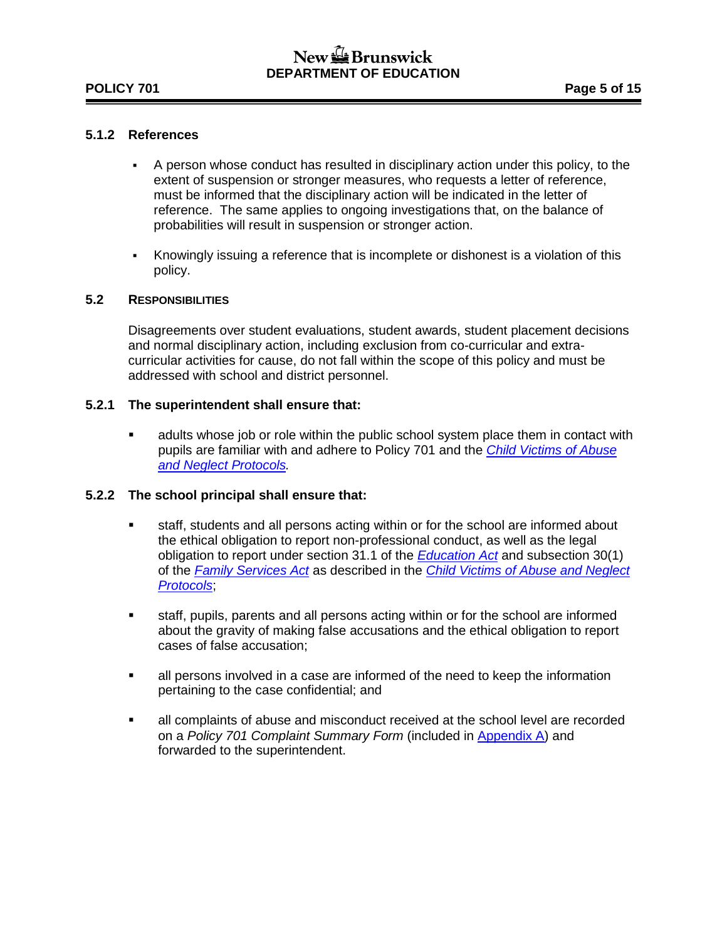## **5.1.2 References**

- A person whose conduct has resulted in disciplinary action under this policy, to the extent of suspension or stronger measures, who requests a letter of reference, must be informed that the disciplinary action will be indicated in the letter of reference. The same applies to ongoing investigations that, on the balance of probabilities will result in suspension or stronger action.
- Knowingly issuing a reference that is incomplete or dishonest is a violation of this policy.

#### **5.2 RESPONSIBILITIES**

Disagreements over student evaluations, student awards, student placement decisions and normal disciplinary action, including exclusion from co-curricular and extracurricular activities for cause, do not fall within the scope of this policy and must be addressed with school and district personnel.

#### **5.2.1 The superintendent shall ensure that:**

 adults whose job or role within the public school system place them in contact with pupils are familiar with and adhere to Policy 701 and the *[Child Victims of Abuse](http://www2.gnb.ca/content/dam/gnb/Departments/sd-ds/pdf/Protection/Child/ChildAbuseProtocols05-e.pdf)  [and Neglect Protocols.](http://www2.gnb.ca/content/dam/gnb/Departments/sd-ds/pdf/Protection/Child/ChildAbuseProtocols05-e.pdf)*

## **5.2.2 The school principal shall ensure that:**

- staff, students and all persons acting within or for the school are informed about the ethical obligation to report non-professional conduct, as well as the legal obligation to report under section 31.1 of the *[Education Act](http://laws.gnb.ca/en/ShowPdf/cs/E-1.12.pdf)* and subsection 30(1) of the *[Family Services Act](http://laws.gnb.ca/fr/ShowPdf/cs/F-2.2.pdf)* as described in the *[Child Victims of Abuse and Neglect](http://www2.gnb.ca/content/dam/gnb/Departments/sd-ds/pdf/Protection/Child/ChildAbuseProtocols05-e.pdf)  [Protocols](http://www2.gnb.ca/content/dam/gnb/Departments/sd-ds/pdf/Protection/Child/ChildAbuseProtocols05-e.pdf)*;
- staff, pupils, parents and all persons acting within or for the school are informed about the gravity of making false accusations and the ethical obligation to report cases of false accusation;
- all persons involved in a case are informed of the need to keep the information pertaining to the case confidential; and
- all complaints of abuse and misconduct received at the school level are recorded on a *Policy 701 Complaint Summary Form* (included in [Appendix A\)](http://www2.gnb.ca/content/dam/gnb/Departments/ed/pdf/K12/policies-politiques/e/701AA.pdf) and forwarded to the superintendent.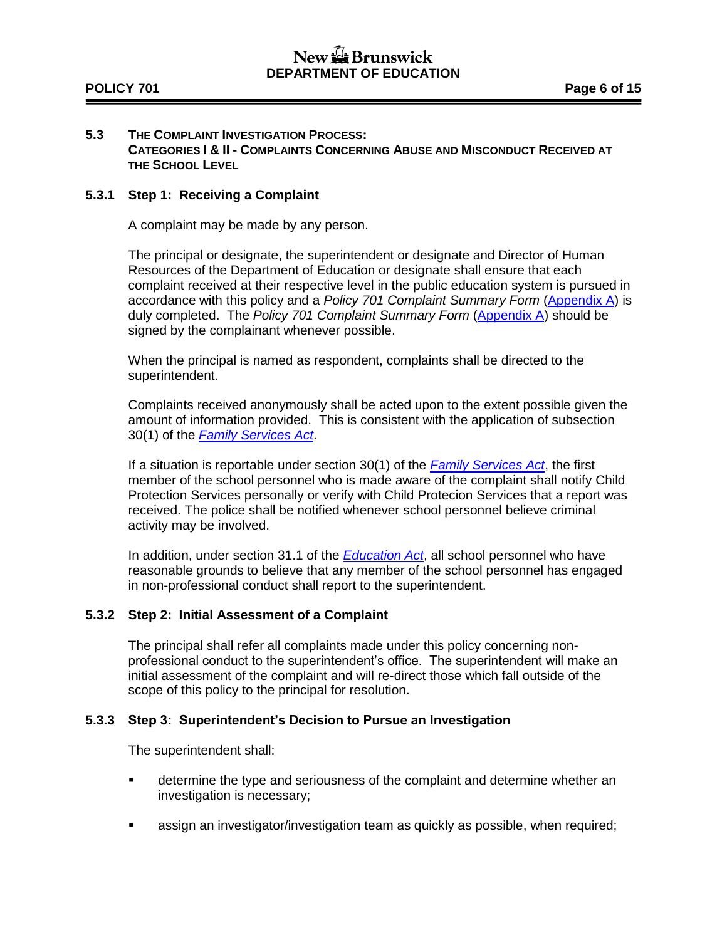### **5.3 THE COMPLAINT INVESTIGATION PROCESS: CATEGORIES I & II - COMPLAINTS CONCERNING ABUSE AND MISCONDUCT RECEIVED AT THE SCHOOL LEVEL**

## **5.3.1 Step 1: Receiving a Complaint**

A complaint may be made by any person.

The principal or designate, the superintendent or designate and Director of Human Resources of the Department of Education or designate shall ensure that each complaint received at their respective level in the public education system is pursued in accordance with this policy and a *Policy 701 Complaint Summary Form* [\(Appendix A\)](http://www2.gnb.ca/content/dam/gnb/Departments/ed/pdf/K12/policies-politiques/e/701AA.pdf) is duly completed. The *Policy 701 Complaint Summary Form* [\(Appendix A\)](http://www2.gnb.ca/content/dam/gnb/Departments/ed/pdf/K12/policies-politiques/e/701AA.pdf) should be signed by the complainant whenever possible.

When the principal is named as respondent, complaints shall be directed to the superintendent.

Complaints received anonymously shall be acted upon to the extent possible given the amount of information provided. This is consistent with the application of subsection 30(1) of the *[Family Services Act](http://laws.gnb.ca/fr/ShowPdf/cs/F-2.2.pdf)*.

If a situation is reportable under section 30(1) of the *[Family Services Act](http://laws.gnb.ca/fr/ShowPdf/cs/F-2.2.pdf)*, the first member of the school personnel who is made aware of the complaint shall notify Child Protection Services personally or verify with Child Protecion Services that a report was received. The police shall be notified whenever school personnel believe criminal activity may be involved.

In addition, under section 31.1 of the *[Education Act](http://laws.gnb.ca/en/ShowPdf/cs/E-1.12.pdf)*, all school personnel who have reasonable grounds to believe that any member of the school personnel has engaged in non-professional conduct shall report to the superintendent.

## **5.3.2 Step 2: Initial Assessment of a Complaint**

The principal shall refer all complaints made under this policy concerning nonprofessional conduct to the superintendent's office. The superintendent will make an initial assessment of the complaint and will re-direct those which fall outside of the scope of this policy to the principal for resolution.

## **5.3.3 Step 3: Superintendent's Decision to Pursue an Investigation**

The superintendent shall:

- determine the type and seriousness of the complaint and determine whether an investigation is necessary;
- **Example 3** assign an investigator/investigation team as quickly as possible, when required;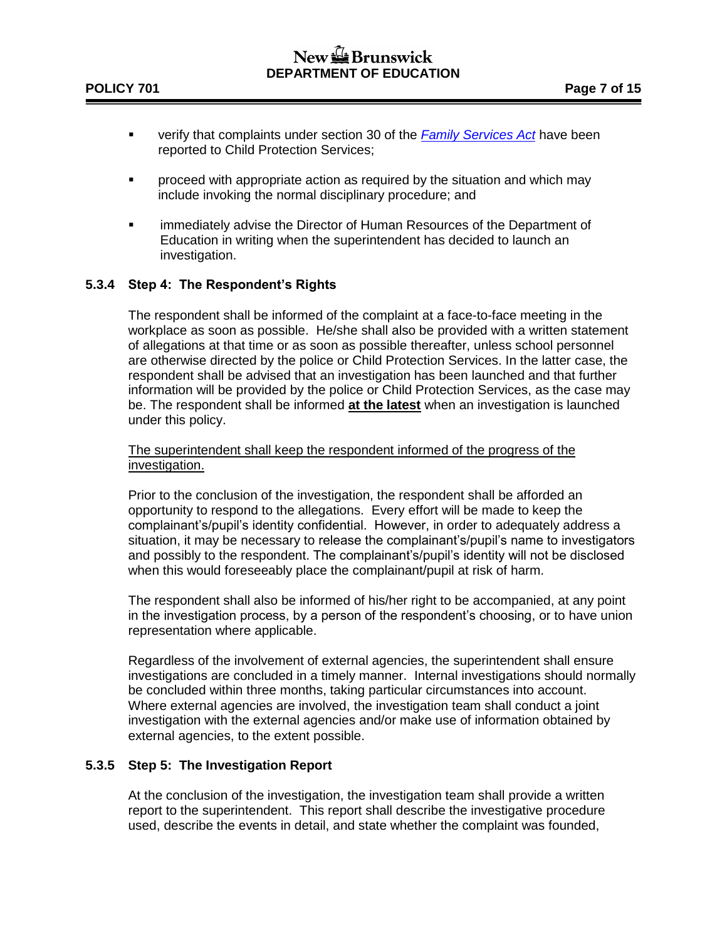- verify that complaints under section 30 of the *[Family Services Act](http://laws.gnb.ca/fr/ShowPdf/cs/F-2.2.pdf)* have been reported to Child Protection Services;
- **•** proceed with appropriate action as required by the situation and which may include invoking the normal disciplinary procedure; and
- immediately advise the Director of Human Resources of the Department of Education in writing when the superintendent has decided to launch an investigation.

# **5.3.4 Step 4: The Respondent's Rights**

The respondent shall be informed of the complaint at a face-to-face meeting in the workplace as soon as possible. He/she shall also be provided with a written statement of allegations at that time or as soon as possible thereafter, unless school personnel are otherwise directed by the police or Child Protection Services. In the latter case, the respondent shall be advised that an investigation has been launched and that further information will be provided by the police or Child Protection Services, as the case may be. The respondent shall be informed **at the latest** when an investigation is launched under this policy.

# The superintendent shall keep the respondent informed of the progress of the investigation.

Prior to the conclusion of the investigation, the respondent shall be afforded an opportunity to respond to the allegations. Every effort will be made to keep the complainant's/pupil's identity confidential. However, in order to adequately address a situation, it may be necessary to release the complainant's/pupil's name to investigators and possibly to the respondent. The complainant's/pupil's identity will not be disclosed when this would foreseeably place the complainant/pupil at risk of harm.

The respondent shall also be informed of his/her right to be accompanied, at any point in the investigation process, by a person of the respondent's choosing, or to have union representation where applicable.

Regardless of the involvement of external agencies, the superintendent shall ensure investigations are concluded in a timely manner. Internal investigations should normally be concluded within three months, taking particular circumstances into account. Where external agencies are involved, the investigation team shall conduct a joint investigation with the external agencies and/or make use of information obtained by external agencies, to the extent possible.

## **5.3.5 Step 5: The Investigation Report**

At the conclusion of the investigation, the investigation team shall provide a written report to the superintendent. This report shall describe the investigative procedure used, describe the events in detail, and state whether the complaint was founded,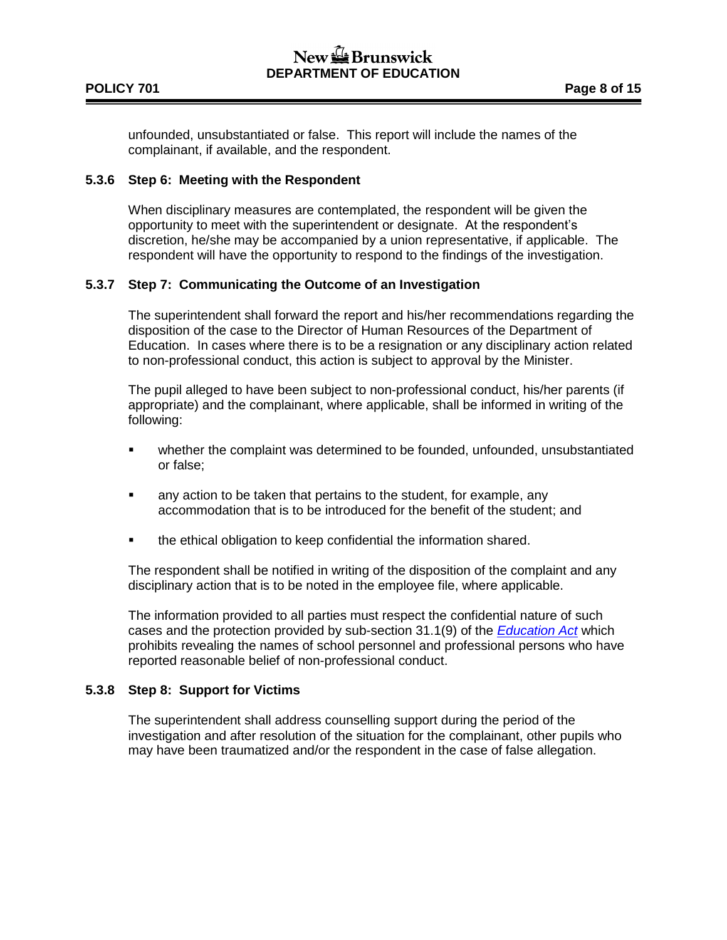unfounded, unsubstantiated or false. This report will include the names of the complainant, if available, and the respondent.

## **5.3.6 Step 6: Meeting with the Respondent**

When disciplinary measures are contemplated, the respondent will be given the opportunity to meet with the superintendent or designate. At the respondent's discretion, he/she may be accompanied by a union representative, if applicable. The respondent will have the opportunity to respond to the findings of the investigation.

# **5.3.7 Step 7: Communicating the Outcome of an Investigation**

The superintendent shall forward the report and his/her recommendations regarding the disposition of the case to the Director of Human Resources of the Department of Education. In cases where there is to be a resignation or any disciplinary action related to non-professional conduct, this action is subject to approval by the Minister.

The pupil alleged to have been subject to non-professional conduct, his/her parents (if appropriate) and the complainant, where applicable, shall be informed in writing of the following:

- whether the complaint was determined to be founded, unfounded, unsubstantiated or false;
- **EXECT** any action to be taken that pertains to the student, for example, any accommodation that is to be introduced for the benefit of the student; and
- **the ethical obligation to keep confidential the information shared.**

The respondent shall be notified in writing of the disposition of the complaint and any disciplinary action that is to be noted in the employee file, where applicable.

The information provided to all parties must respect the confidential nature of such cases and the protection provided by sub-section 31.1(9) of the *[Education Act](http://laws.gnb.ca/en/ShowPdf/cs/E-1.12.pdf)* which prohibits revealing the names of school personnel and professional persons who have reported reasonable belief of non-professional conduct.

## **5.3.8 Step 8: Support for Victims**

The superintendent shall address counselling support during the period of the investigation and after resolution of the situation for the complainant, other pupils who may have been traumatized and/or the respondent in the case of false allegation.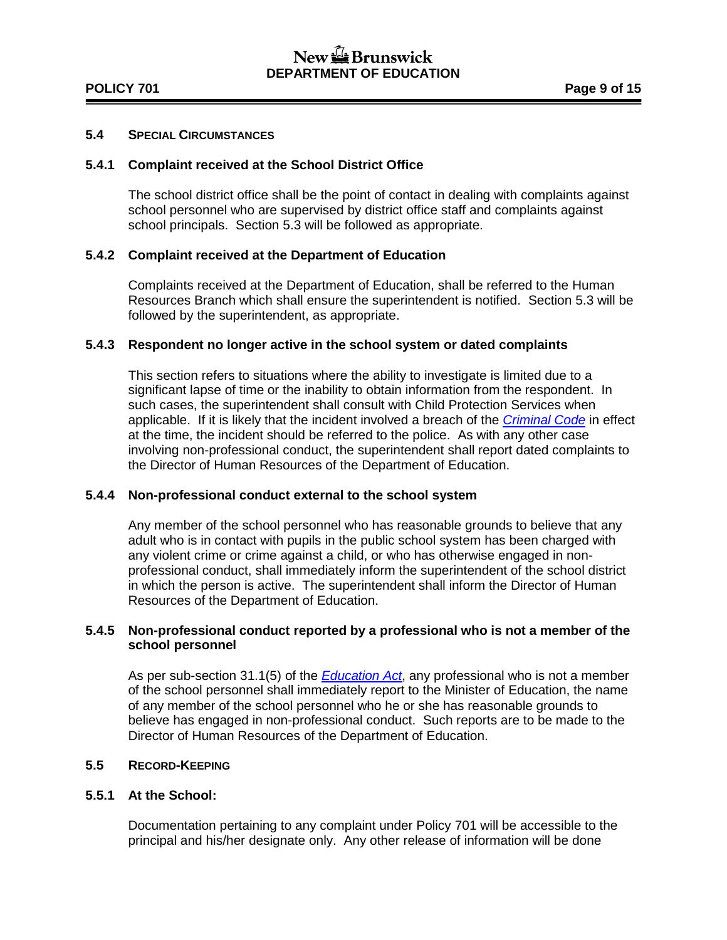# New Se Brunswick **DEPARTMENT OF EDUCATION**

#### **5.4 SPECIAL CIRCUMSTANCES**

#### **5.4.1 Complaint received at the School District Office**

The school district office shall be the point of contact in dealing with complaints against school personnel who are supervised by district office staff and complaints against school principals. Section 5.3 will be followed as appropriate.

#### **5.4.2 Complaint received at the Department of Education**

Complaints received at the Department of Education, shall be referred to the Human Resources Branch which shall ensure the superintendent is notified. Section 5.3 will be followed by the superintendent, as appropriate.

#### **5.4.3 Respondent no longer active in the school system or dated complaints**

This section refers to situations where the ability to investigate is limited due to a significant lapse of time or the inability to obtain information from the respondent. In such cases, the superintendent shall consult with Child Protection Services when applicable. If it is likely that the incident involved a breach of the *[Criminal Code](http://laws-lois.justice.gc.ca/eng/acts/C-46/)* in effect at the time, the incident should be referred to the police. As with any other case involving non-professional conduct, the superintendent shall report dated complaints to the Director of Human Resources of the Department of Education.

#### **5.4.4 Non-professional conduct external to the school system**

Any member of the school personnel who has reasonable grounds to believe that any adult who is in contact with pupils in the public school system has been charged with any violent crime or crime against a child, or who has otherwise engaged in nonprofessional conduct, shall immediately inform the superintendent of the school district in which the person is active. The superintendent shall inform the Director of Human Resources of the Department of Education.

## **5.4.5 Non-professional conduct reported by a professional who is not a member of the school personnel**

As per sub-section 31.1(5) of the *[Education Act](http://laws.gnb.ca/en/ShowPdf/cs/E-1.12.pdf)*, any professional who is not a member of the school personnel shall immediately report to the Minister of Education, the name of any member of the school personnel who he or she has reasonable grounds to believe has engaged in non-professional conduct. Such reports are to be made to the Director of Human Resources of the Department of Education.

#### **5.5 RECORD-KEEPING**

## **5.5.1 At the School:**

Documentation pertaining to any complaint under Policy 701 will be accessible to the principal and his/her designate only. Any other release of information will be done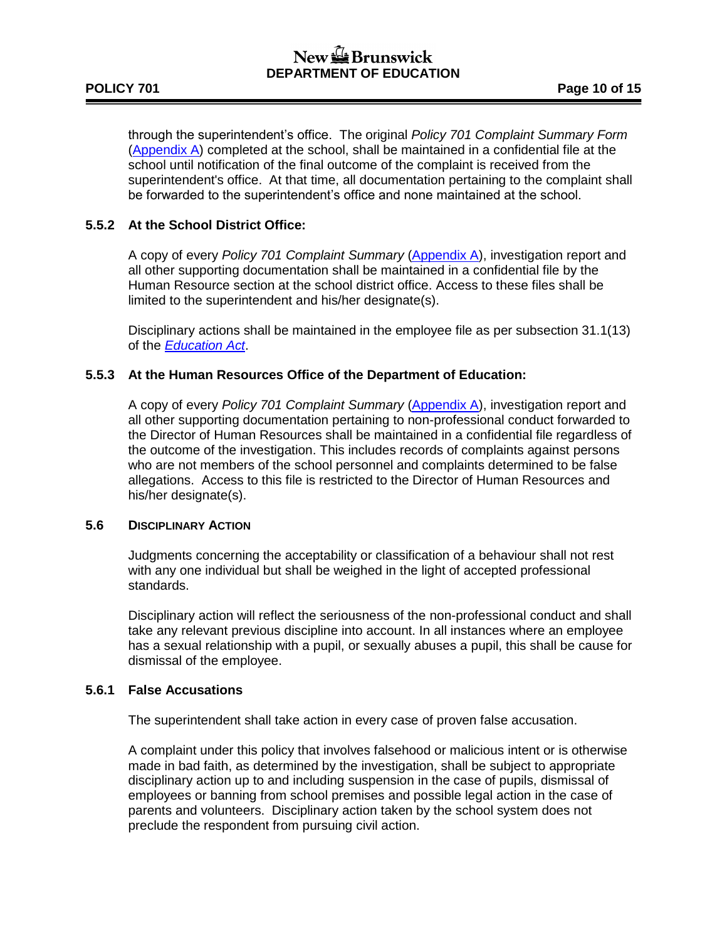through the superintendent's office. The original *Policy 701 Complaint Summary Form* [\(Appendix A\)](http://www2.gnb.ca/content/dam/gnb/Departments/ed/pdf/K12/policies-politiques/e/701AA.pdf) completed at the school, shall be maintained in a confidential file at the school until notification of the final outcome of the complaint is received from the superintendent's office. At that time, all documentation pertaining to the complaint shall be forwarded to the superintendent's office and none maintained at the school.

# **5.5.2 At the School District Office:**

A copy of every *Policy 701 Complaint Summary* [\(Appendix A\)](http://www2.gnb.ca/content/dam/gnb/Departments/ed/pdf/K12/policies-politiques/e/701AA.pdf), investigation report and all other supporting documentation shall be maintained in a confidential file by the Human Resource section at the school district office. Access to these files shall be limited to the superintendent and his/her designate(s).

Disciplinary actions shall be maintained in the employee file as per subsection 31.1(13) of the *[Education Act](http://laws.gnb.ca/en/ShowPdf/cs/E-1.12.pdf)*.

# **5.5.3 At the Human Resources Office of the Department of Education:**

A copy of every *Policy 701 Complaint Summary* [\(Appendix A\)](http://www2.gnb.ca/content/dam/gnb/Departments/ed/pdf/K12/policies-politiques/e/701AA.pdf), investigation report and all other supporting documentation pertaining to non-professional conduct forwarded to the Director of Human Resources shall be maintained in a confidential file regardless of the outcome of the investigation. This includes records of complaints against persons who are not members of the school personnel and complaints determined to be false allegations. Access to this file is restricted to the Director of Human Resources and his/her designate(s).

# **5.6 DISCIPLINARY ACTION**

Judgments concerning the acceptability or classification of a behaviour shall not rest with any one individual but shall be weighed in the light of accepted professional standards.

Disciplinary action will reflect the seriousness of the non-professional conduct and shall take any relevant previous discipline into account. In all instances where an employee has a sexual relationship with a pupil, or sexually abuses a pupil, this shall be cause for dismissal of the employee.

## **5.6.1 False Accusations**

The superintendent shall take action in every case of proven false accusation.

A complaint under this policy that involves falsehood or malicious intent or is otherwise made in bad faith, as determined by the investigation, shall be subject to appropriate disciplinary action up to and including suspension in the case of pupils, dismissal of employees or banning from school premises and possible legal action in the case of parents and volunteers. Disciplinary action taken by the school system does not preclude the respondent from pursuing civil action.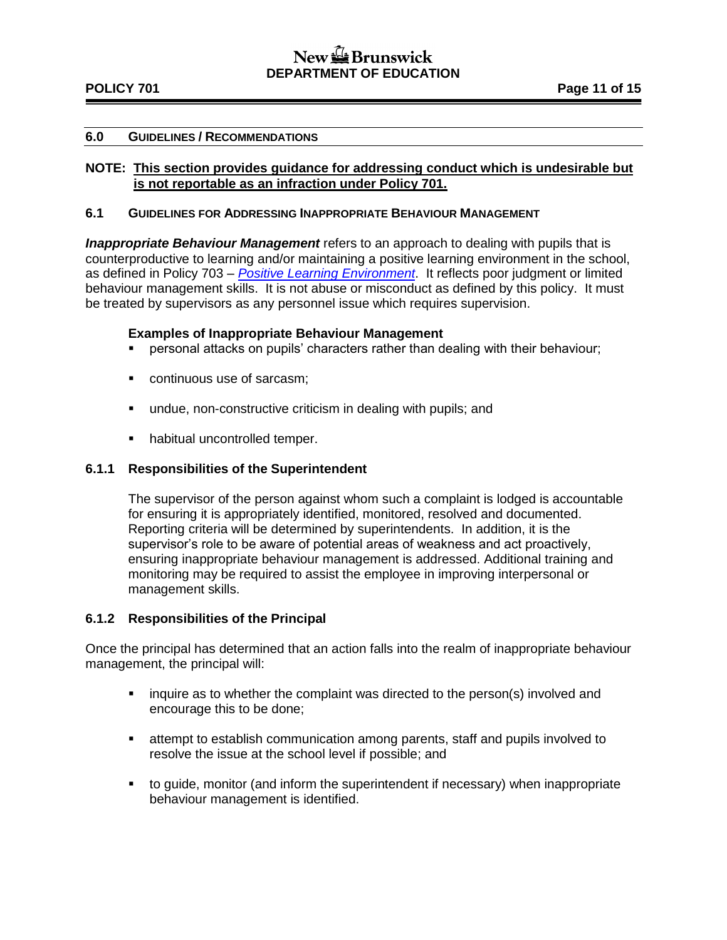# New Se Brunswick **DEPARTMENT OF EDUCATION**

# **6.0 GUIDELINES / RECOMMENDATIONS**

### **NOTE: This section provides guidance for addressing conduct which is undesirable but is not reportable as an infraction under Policy 701.**

#### **6.1 GUIDELINES FOR ADDRESSING INAPPROPRIATE BEHAVIOUR MANAGEMENT**

*Inappropriate Behaviour Management* refers to an approach to dealing with pupils that is counterproductive to learning and/or maintaining a positive learning environment in the school, as defined in Policy 703 – *[Positive Learning Environment](http://www2.gnb.ca/content/dam/gnb/Departments/ed/pdf/K12/policies-politiques/e/703A.pdf)*. It reflects poor judgment or limited behaviour management skills. It is not abuse or misconduct as defined by this policy. It must be treated by supervisors as any personnel issue which requires supervision.

#### **Examples of Inappropriate Behaviour Management**

- personal attacks on pupils' characters rather than dealing with their behaviour;
- **•** continuous use of sarcasm;
- undue, non-constructive criticism in dealing with pupils; and
- habitual uncontrolled temper.

#### **6.1.1 Responsibilities of the Superintendent**

The supervisor of the person against whom such a complaint is lodged is accountable for ensuring it is appropriately identified, monitored, resolved and documented. Reporting criteria will be determined by superintendents. In addition, it is the supervisor's role to be aware of potential areas of weakness and act proactively, ensuring inappropriate behaviour management is addressed. Additional training and monitoring may be required to assist the employee in improving interpersonal or management skills.

# **6.1.2 Responsibilities of the Principal**

Once the principal has determined that an action falls into the realm of inappropriate behaviour management, the principal will:

- **Example 2** inquire as to whether the complaint was directed to the person(s) involved and encourage this to be done;
- attempt to establish communication among parents, staff and pupils involved to resolve the issue at the school level if possible; and
- to guide, monitor (and inform the superintendent if necessary) when inappropriate behaviour management is identified.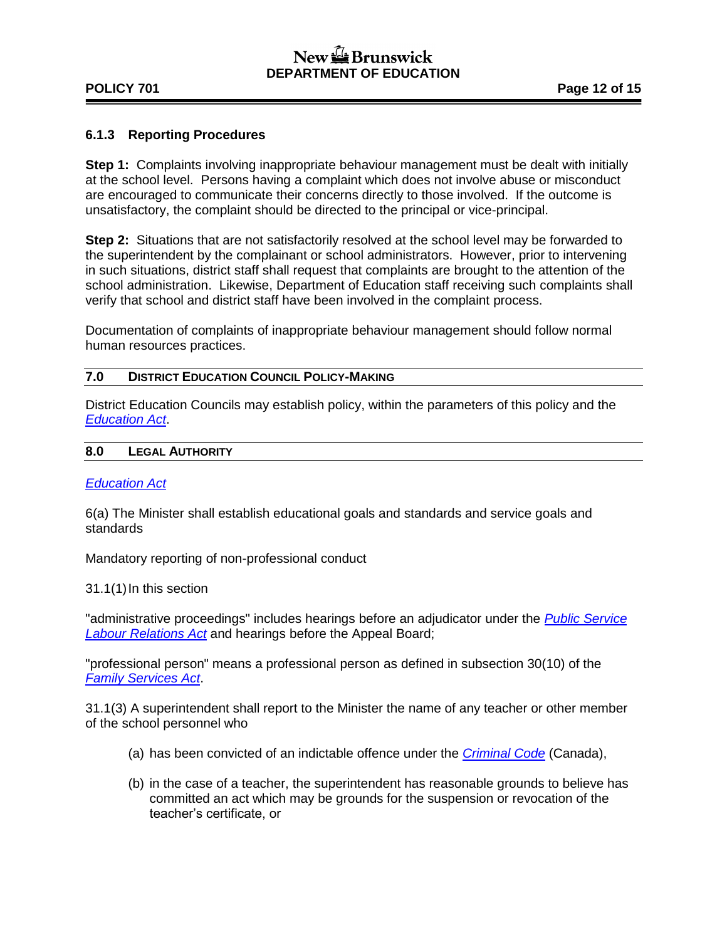## **6.1.3 Reporting Procedures**

**Step 1:** Complaints involving inappropriate behaviour management must be dealt with initially at the school level. Persons having a complaint which does not involve abuse or misconduct are encouraged to communicate their concerns directly to those involved. If the outcome is unsatisfactory, the complaint should be directed to the principal or vice-principal.

**Step 2:** Situations that are not satisfactorily resolved at the school level may be forwarded to the superintendent by the complainant or school administrators. However, prior to intervening in such situations, district staff shall request that complaints are brought to the attention of the school administration. Likewise, Department of Education staff receiving such complaints shall verify that school and district staff have been involved in the complaint process.

Documentation of complaints of inappropriate behaviour management should follow normal human resources practices.

#### **7.0 DISTRICT EDUCATION COUNCIL POLICY-MAKING**

District Education Councils may establish policy, within the parameters of this policy and the *[Education Act](http://laws.gnb.ca/en/ShowPdf/cs/E-1.12.pdf)*.

#### **8.0 LEGAL AUTHORITY**

#### *[Education Act](http://laws.gnb.ca/en/ShowPdf/cs/E-1.12.pdf)*

6(a) The Minister shall establish educational goals and standards and service goals and standards

Mandatory reporting of non-professional conduct

31.1(1)In this section

"administrative proceedings" includes hearings before an adjudicator under the *[Public Service](http://laws.gnb.ca/fr/ShowPdf/cs/P-25.pdf)  [Labour Relations Act](http://laws.gnb.ca/fr/ShowPdf/cs/P-25.pdf)* and hearings before the Appeal Board;

"professional person" means a professional person as defined in subsection 30(10) of the *[Family Services Act](http://laws.gnb.ca/fr/ShowPdf/cs/F-2.2.pdf)*.

31.1(3) A superintendent shall report to the Minister the name of any teacher or other member of the school personnel who

- (a) has been convicted of an indictable offence under the *[Criminal Code](http://laws-lois.justice.gc.ca/eng/acts/C-46/)* (Canada),
- (b) in the case of a teacher, the superintendent has reasonable grounds to believe has committed an act which may be grounds for the suspension or revocation of the teacher's certificate, or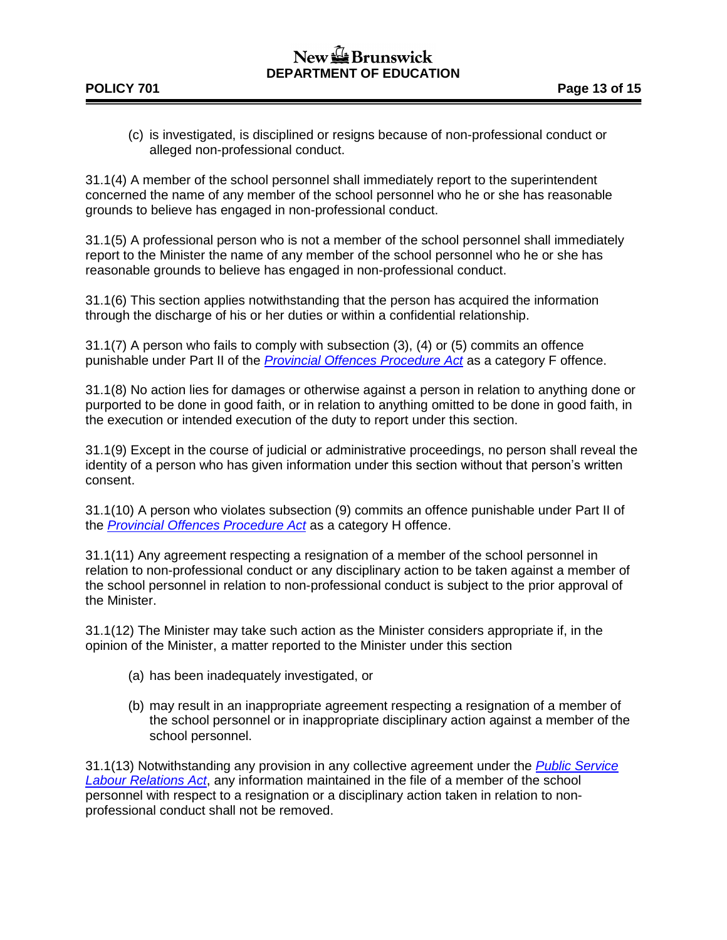(c) is investigated, is disciplined or resigns because of non-professional conduct or alleged non-professional conduct.

31.1(4) A member of the school personnel shall immediately report to the superintendent concerned the name of any member of the school personnel who he or she has reasonable grounds to believe has engaged in non-professional conduct.

31.1(5) A professional person who is not a member of the school personnel shall immediately report to the Minister the name of any member of the school personnel who he or she has reasonable grounds to believe has engaged in non-professional conduct.

31.1(6) This section applies notwithstanding that the person has acquired the information through the discharge of his or her duties or within a confidential relationship.

31.1(7) A person who fails to comply with subsection (3), (4) or (5) commits an offence punishable under Part II of the *[Provincial Offences Procedure Act](http://laws.gnb.ca/fr/ShowPdf/cs/P-22.1.pdf)* as a category F offence.

31.1(8) No action lies for damages or otherwise against a person in relation to anything done or purported to be done in good faith, or in relation to anything omitted to be done in good faith, in the execution or intended execution of the duty to report under this section.

31.1(9) Except in the course of judicial or administrative proceedings, no person shall reveal the identity of a person who has given information under this section without that person's written consent.

31.1(10) A person who violates subsection (9) commits an offence punishable under Part II of the *[Provincial Offences Procedure Act](http://laws.gnb.ca/fr/ShowPdf/cs/P-22.1.pdf)* as a category H offence.

31.1(11) Any agreement respecting a resignation of a member of the school personnel in relation to non-professional conduct or any disciplinary action to be taken against a member of the school personnel in relation to non-professional conduct is subject to the prior approval of the Minister.

31.1(12) The Minister may take such action as the Minister considers appropriate if, in the opinion of the Minister, a matter reported to the Minister under this section

- (a) has been inadequately investigated, or
- (b) may result in an inappropriate agreement respecting a resignation of a member of the school personnel or in inappropriate disciplinary action against a member of the school personnel.

31.1(13) Notwithstanding any provision in any collective agreement under the *[Public Service](http://laws.gnb.ca/fr/ShowPdf/cs/P-25.pdf)  [Labour Relations Act](http://laws.gnb.ca/fr/ShowPdf/cs/P-25.pdf)*, any information maintained in the file of a member of the school personnel with respect to a resignation or a disciplinary action taken in relation to nonprofessional conduct shall not be removed.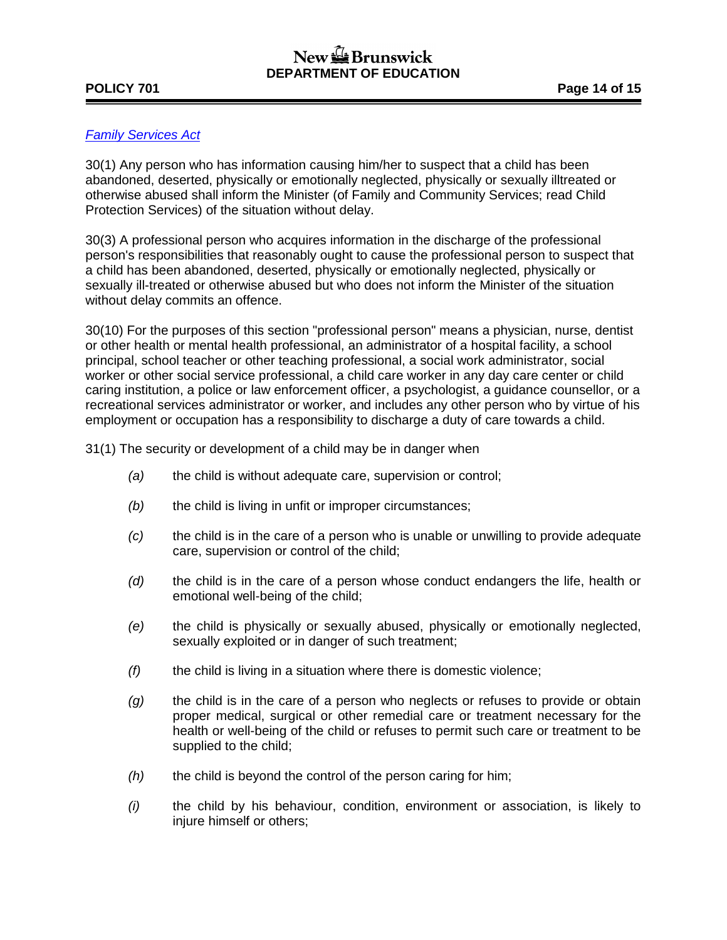# New Se Brunswick **DEPARTMENT OF EDUCATION**

# *[Family Services Act](http://laws.gnb.ca/fr/ShowPdf/cs/F-2.2.pdf)*

30(1) Any person who has information causing him/her to suspect that a child has been abandoned, deserted, physically or emotionally neglected, physically or sexually illtreated or otherwise abused shall inform the Minister (of Family and Community Services; read Child Protection Services) of the situation without delay.

30(3) A professional person who acquires information in the discharge of the professional person's responsibilities that reasonably ought to cause the professional person to suspect that a child has been abandoned, deserted, physically or emotionally neglected, physically or sexually ill-treated or otherwise abused but who does not inform the Minister of the situation without delay commits an offence.

30(10) For the purposes of this section "professional person" means a physician, nurse, dentist or other health or mental health professional, an administrator of a hospital facility, a school principal, school teacher or other teaching professional, a social work administrator, social worker or other social service professional, a child care worker in any day care center or child caring institution, a police or law enforcement officer, a psychologist, a guidance counsellor, or a recreational services administrator or worker, and includes any other person who by virtue of his employment or occupation has a responsibility to discharge a duty of care towards a child.

31(1) The security or development of a child may be in danger when

- *(a)* the child is without adequate care, supervision or control;
- *(b)* the child is living in unfit or improper circumstances;
- *(c)* the child is in the care of a person who is unable or unwilling to provide adequate care, supervision or control of the child;
- *(d)* the child is in the care of a person whose conduct endangers the life, health or emotional well-being of the child;
- *(e)* the child is physically or sexually abused, physically or emotionally neglected, sexually exploited or in danger of such treatment;
- *(f)* the child is living in a situation where there is domestic violence;
- *(g)* the child is in the care of a person who neglects or refuses to provide or obtain proper medical, surgical or other remedial care or treatment necessary for the health or well-being of the child or refuses to permit such care or treatment to be supplied to the child;
- *(h)* the child is beyond the control of the person caring for him;
- *(i)* the child by his behaviour, condition, environment or association, is likely to injure himself or others;